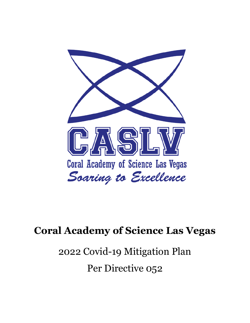

## **Coral Academy of Science Las Vegas**

# 2022 Covid-19 Mitigation Plan Per Directive 052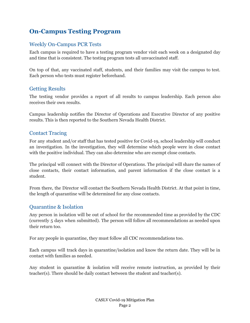## **On-Campus Testing Program**

#### Weekly On-Campus PCR Tests

Each campus is required to have a testing program vendor visit each week on a designated day and time that is consistent. The testing program tests all unvaccinated staff.

On top of that, any vaccinated staff, students, and their families may visit the campus to test. Each person who tests must register beforehand.

#### Getting Results

The testing vendor provides a report of all results to campus leadership. Each person also receives their own results.

Campus leadership notifies the Director of Operations and Executive Director of any positive results. This is then reported to the Southern Nevada Health District.

#### Contact Tracing

For any student and/or staff that has tested positive for Covid-19, school leadership will conduct an investigation. In the investigation, they will determine which people were in close contact with the positive individual. They can also determine who are exempt close contacts.

The principal will connect with the Director of Operations. The principal will share the names of close contacts, their contact information, and parent information if the close contact is a student.

From there, the Director will contact the Southern Nevada Health District. At that point in time, the length of quarantine will be determined for any close contacts.

#### Quarantine & Isolation

Any person in isolation will be out of school for the recommended time as provided by the CDC (currently 5 days when submitted). The person will follow all recommendations as needed upon their return too.

For any people in quarantine, they must follow all CDC recommendations too.

Each campus will track days in quarantine/isolation and know the return date. They will be in contact with families as needed.

Any student in quarantine & isolation will receive remote instruction, as provided by their teacher(s). There should be daily contact between the student and teacher(s).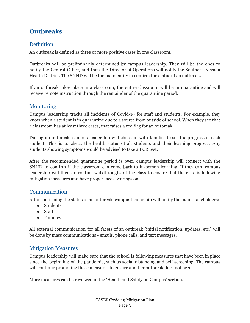## **Outbreaks**

#### **Definition**

An outbreak is defined as three or more positive cases in one classroom.

Outbreaks will be preliminarily determined by campus leadership. They will be the ones to notify the Central Office, and then the Director of Operations will notify the Southern Nevada Health District. The SNHD will be the main entity to confirm the status of an outbreak.

If an outbreak takes place in a classroom, the entire classroom will be in quarantine and will receive remote instruction through the remainder of the quarantine period.

#### **Monitoring**

Campus leadership tracks all incidents of Covid-19 for staff and students. For example, they know when a student is in quarantine due to a source from outside of school. When they see that a classroom has at least three cases, that raises a red flag for an outbreak.

During an outbreak, campus leadership will check in with families to see the progress of each student. This is to check the health status of all students and their learning progress. Any students showing symptoms would be advised to take a PCR test.

After the recommended quarantine period is over, campus leadership will connect with the SNHD to confirm if the classroom can come back to in-person learning. If they can, campus leadership will then do routine walkthroughs of the class to ensure that the class is following mitigation measures and have proper face coverings on.

#### Communication

After confirming the status of an outbreak, campus leadership will notify the main stakeholders:

- Students
- Staff
- Families

All external communication for all facets of an outbreak (initial notification, updates, etc.) will be done by mass communications - emails, phone calls, and text messages.

#### Mitigation Measures

Campus leadership will make sure that the school is following measures that have been in place since the beginning of the pandemic, such as social distancing and self-screening. The campus will continue promoting these measures to ensure another outbreak does not occur.

More measures can be reviewed in the 'Health and Safety on Campus' section.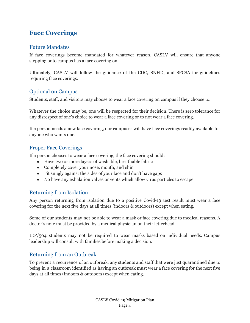### **Face Coverings**

#### Future Mandates

If face coverings become mandated for whatever reason, CASLV will ensure that anyone stepping onto campus has a face covering on.

Ultimately, CASLV will follow the guidance of the CDC, SNHD, and SPCSA for guidelines requiring face coverings.

#### Optional on Campus

Students, staff, and visitors may choose to wear a face covering on campus if they choose to.

Whatever the choice may be, one will be respected for their decision. There is zero tolerance for any disrespect of one's choice to wear a face covering or to not wear a face covering.

If a person needs a new face covering, our campuses will have face coverings readily available for anyone who wants one.

#### Proper Face Coverings

If a person chooses to wear a face covering, the face covering should:

- Have two or more layers of washable, breathable fabric
- Completely cover your nose, mouth, and chin
- Fit snugly against the sides of your face and don't have gaps
- No have any exhalation valves or vents which allow virus particles to escape

#### Returning from Isolation

Any person returning from isolation due to a positive Covid-19 test result must wear a face covering for the next five days at all times (indoors & outdoors) except when eating.

Some of our students may not be able to wear a mask or face covering due to medical reasons. A doctor's note must be provided by a medical physician on their letterhead.

IEP/504 students may not be required to wear masks based on individual needs. Campus leadership will consult with families before making a decision.

#### Returning from an Outbreak

To prevent a recurrence of an outbreak, any students and staff that were just quarantined due to being in a classroom identified as having an outbreak must wear a face covering for the next five days at all times (indoors & outdoors) except when eating.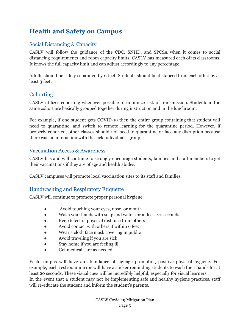## **Health and Safety on Campus**

#### Social Distancing & Capacity

CASLV will follow the guidance of the CDC, SNHD, and SPCSA when it comes to social distancing requirements and room capacity limits. CASLV has measured each of its classrooms. It knows the full capacity limit and can adjust accordingly to any percentage.

Adults should be safely separated by 6 feet. Students should be distanced from each other by at least 3 feet.

#### **Cohorting**

CASLV utilizes cohorting whenever possible to minimize risk of transmission. Students in the same cohort are basically grouped together during instruction and in the lunchroom.

For example, if one student gets COVID-19 then the entire group containing that student will need to quarantine, and switch to remote learning for the quarantine period. However, if properly cohorted, other classes should not need to quarantine or face any disruption because there was no interaction with the sick individual's group.

#### Vaccination Access & Awareness

CASLV has and will continue to strongly encourage students, families and staff members to get their vaccinations if they are of age and health abides.

CASLV campuses will promote local vaccination sites to its staff and families.

#### Handwashing and Respiratory Etiquette

CASLV will continue to promote proper personal hygiene:

- Avoid touching your eyes, nose, or mouth
- Wash your hands with soap and water for at least 20 seconds
- Keep 6 feet of physical distance from others
- Avoid contact with others if within 6 feet
- Wear a cloth face mask covering in public
- Avoid traveling if you are sick
- Stay home if you are feeling ill
- Get medical care as needed

Each campus will have an abundance of signage promoting positive physical hygiene. For example, each restroom mirror will have a sticker reminding students to wash their hands for at least 20 seconds. These visual cues will be incredibly helpful, especially for visual learners. In the event that a student may not be implementing safe and healthy hygiene practices, staff will re-educate the student and inform the student's parents.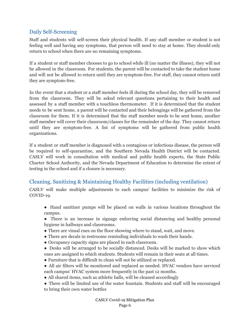#### Daily Self-Screening

Staff and students will self-screen their physical health. If any staff member or student is not feeling well and having any symptoms, that person will need to stay at home. They should only return to school when there are no remaining symptoms.

If a student or staff member chooses to go to school while ill (no matter the illness), they will not be allowed in the classroom. For students, the parent will be contacted to take the student home and will not be allowed to return until they are symptom-free. For staff, they cannot return until they are symptom-free.

In the event that a student or a staff member feels ill during the school day, they will be removed from the classroom. They will be asked relevant questions pertaining to their health and assessed by a staff member with a touchless thermometer. If it is determined that the student needs to be sent home, a parent will be contacted and their belongings will be gathered from the classroom for them. If it is determined that the staff member needs to be sent home, another staff member will cover their classroom/classes for the remainder of the day. They cannot return until they are symptom-free. A list of symptoms will be gathered from public health organizations.

If a student or staff member is diagnosed with a contagious or infectious disease, the person will be required to self-quarantine, and the Southern Nevada Health District will be contacted. CASLV will work in consultation with medical and public health experts, the State Public Charter School Authority, and the Nevada Department of Education to determine the extent of testing in the school and if a closure is necessary.

#### Cleaning, Sanitizing & Maintaining Healthy Facilities (including ventilation)

CASLV will make multiple adjustments to each campus' facilities to minimize the risk of COVID-19.

- Hand sanitizer pumps will be placed on walls in various locations throughout the campus.
- There is an increase in signage enforcing social distancing and healthy personal hygiene in hallways and classrooms.
- There are visual cues on the floor showing where to stand, wait, and move.
- There are decals in restrooms reminding individuals to wash their hands.
- Occupancy capacity signs are placed in each classroom.
- Desks will be arranged to be socially distanced. Desks will be marked to show which ones are assigned to which students. Students will remain in their seats at all times.
- Furniture that is difficult to clean will not be utilized or replaced.
- All air filters will be monitored and replaced as needed. HVAC vendors have serviced each campus' HVAC system more frequently in the past 12 months.
- All shared items, such as athletic balls, will be cleaned accordingly
- There will be limited use of the water fountain. Students and staff will be encouraged to bring their own water bottles